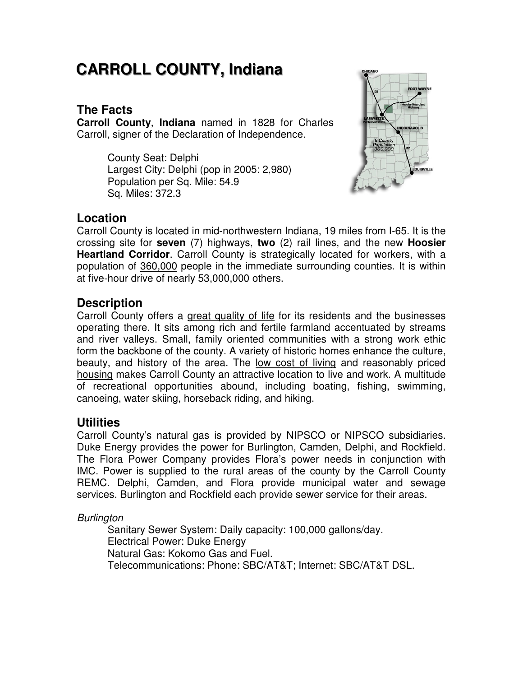# **CARROLL COUNTY,, IIndiiana**

# **The Facts**

**Carroll County**, **Indiana** named in 1828 for Charles Carroll, signer of the Declaration of Independence.

> County Seat: Delphi Largest City: Delphi (pop in 2005: 2,980) Population per Sq. Mile: 54.9 Sq. Miles: 372.3



### **Location**

Carroll County is located in mid‐northwestern Indiana, 19 miles from I‐65. It is the crossing site for **seven** (7) highways, **two** (2) rail lines, and the new **Hoosier Heartland Corridor**. Carroll County is strategically located for workers, with a population of 360,000 people in the immediate surrounding counties. It is within at five‐hour drive of nearly 53,000,000 others.

# **Description**

Carroll County offers a great quality of life for its residents and the businesses operating there. It sits among rich and fertile farmland accentuated by streams and river valleys. Small, family oriented communities with a strong work ethic form the backbone of the county. A variety of historic homes enhance the culture, beauty, and history of the area. The low cost of living and reasonably priced housing makes Carroll County an attractive location to live and work. A multitude of recreational opportunities abound, including boating, fishing, swimming, canoeing, water skiing, horseback riding, and hiking.

### **Utilities**

Carroll County's natural gas is provided by NIPSCO or NIPSCO subsidiaries. Duke Energy provides the power for Burlington, Camden, Delphi, and Rockfield. The Flora Power Company provides Flora's power needs in conjunction with IMC. Power is supplied to the rural areas of the county by the Carroll County REMC. Delphi, Camden, and Flora provide municipal water and sewage services. Burlington and Rockfield each provide sewer service for their areas.

**Burlington** 

Sanitary Sewer System: Daily capacity: 100,000 gallons/day. Electrical Power: Duke Energy Natural Gas: Kokomo Gas and Fuel. Telecommunications: Phone: SBC/AT&T; Internet: SBC/AT&T DSL.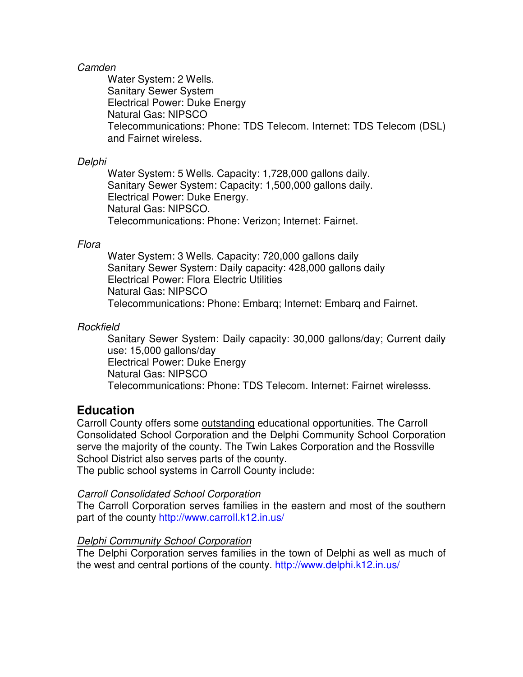#### Camden

Water System: 2 Wells. Sanitary Sewer System Electrical Power: Duke Energy Natural Gas: NIPSCO Telecommunications: Phone: TDS Telecom. Internet: TDS Telecom (DSL) and Fairnet wireless.

#### Delphi

Water System: 5 Wells. Capacity: 1,728,000 gallons daily. Sanitary Sewer System: Capacity: 1,500,000 gallons daily. Electrical Power: Duke Energy. Natural Gas: NIPSCO. Telecommunications: Phone: Verizon; Internet: Fairnet.

#### Flora

Water System: 3 Wells. Capacity: 720,000 gallons daily Sanitary Sewer System: Daily capacity: 428,000 gallons daily Electrical Power: Flora Electric Utilities Natural Gas: NIPSCO Telecommunications: Phone: Embarq; Internet: Embarq and Fairnet.

#### **Rockfield**

Sanitary Sewer System: Daily capacity: 30,000 gallons/day; Current daily use: 15,000 gallons/day Electrical Power: Duke Energy Natural Gas: NIPSCO Telecommunications: Phone: TDS Telecom. Internet: Fairnet wirelesss.

#### **Education**

Carroll County offers some outstanding educational opportunities. The Carroll Consolidated School Corporation and the Delphi Community School Corporation serve the majority of the county. The Twin Lakes Corporation and the Rossville School District also serves parts of the county.

The public school systems in Carroll County include:

#### Carroll Consolidated School Corporation

The Carroll Corporation serves families in the eastern and most of the southern part of the county http://www.carroll.k12.in.us/

#### Delphi Community School Corporation

The Delphi Corporation serves families in the town of Delphi as well as much of the west and central portions of the county. http://www.delphi.k12.in.us/